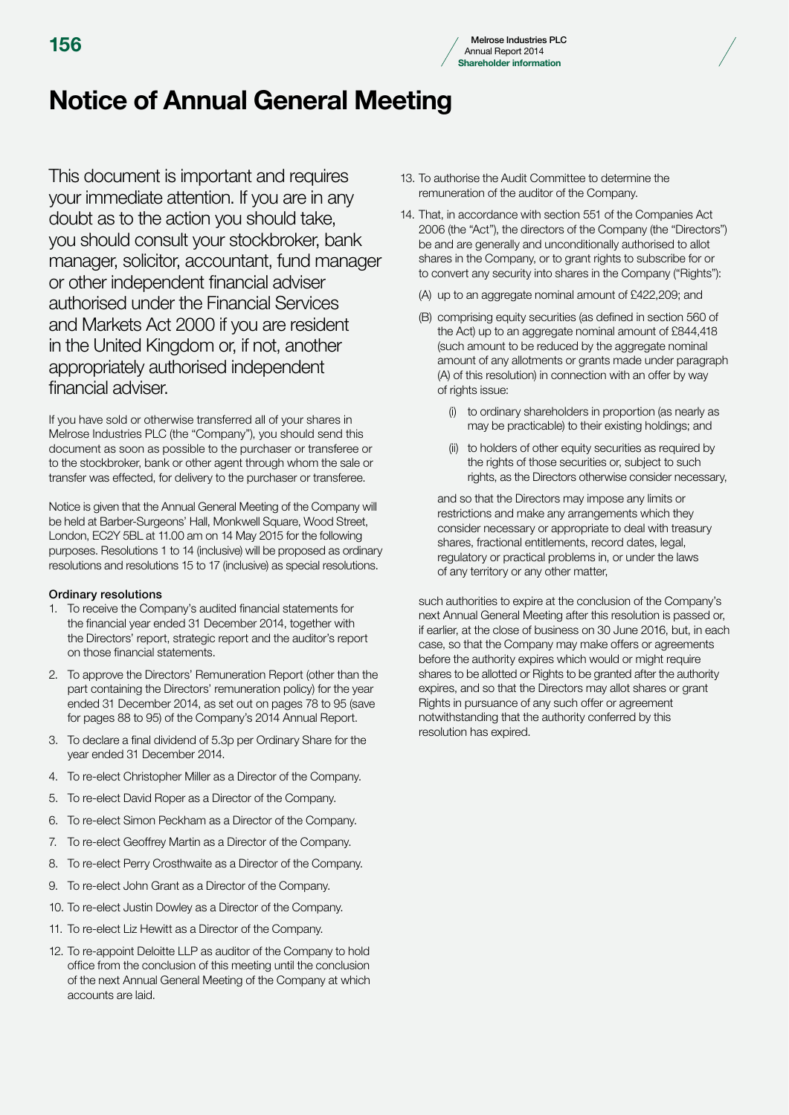# Notice of Annual General Meeting

This document is important and requires your immediate attention. If you are in any doubt as to the action you should take, you should consult your stockbroker, bank manager, solicitor, accountant, fund manager or other independent financial adviser authorised under the Financial Services and Markets Act 2000 if you are resident in the United Kingdom or, if not, another appropriately authorised independent financial adviser.

If you have sold or otherwise transferred all of your shares in Melrose Industries PLC (the "Company"), you should send this document as soon as possible to the purchaser or transferee or to the stockbroker, bank or other agent through whom the sale or transfer was effected, for delivery to the purchaser or transferee.

Notice is given that the Annual General Meeting of the Company will be held at Barber-Surgeons' Hall, Monkwell Square, Wood Street, London, EC2Y 5BL at 11.00 am on 14 May 2015 for the following purposes. Resolutions 1 to 14 (inclusive) will be proposed as ordinary resolutions and resolutions 15 to 17 (inclusive) as special resolutions.

# Ordinary resolutions

- 1. To receive the Company's audited financial statements for the financial year ended 31 December 2014, together with the Directors' report, strategic report and the auditor's report on those financial statements.
- 2. To approve the Directors' Remuneration Report (other than the part containing the Directors' remuneration policy) for the year ended 31 December 2014, as set out on pages 78 to 95 (save for pages 88 to 95) of the Company's 2014 Annual Report.
- 3. To declare a final dividend of 5.3p per Ordinary Share for the year ended 31 December 2014.
- 4. To re-elect Christopher Miller as a Director of the Company.
- 5. To re-elect David Roper as a Director of the Company.
- 6. To re-elect Simon Peckham as a Director of the Company.
- 7. To re-elect Geoffrey Martin as a Director of the Company.
- 8. To re-elect Perry Crosthwaite as a Director of the Company.
- 9. To re-elect John Grant as a Director of the Company.
- 10. To re-elect Justin Dowley as a Director of the Company.
- 11. To re-elect Liz Hewitt as a Director of the Company.
- 12. To re-appoint Deloitte LLP as auditor of the Company to hold office from the conclusion of this meeting until the conclusion of the next Annual General Meeting of the Company at which accounts are laid.
- 13. To authorise the Audit Committee to determine the remuneration of the auditor of the Company.
- 14. That, in accordance with section 551 of the Companies Act 2006 (the "Act"), the directors of the Company (the "Directors") be and are generally and unconditionally authorised to allot shares in the Company, or to grant rights to subscribe for or to convert any security into shares in the Company ("Rights"):
	- (A) up to an aggregate nominal amount of £422,209; and
	- (B) comprising equity securities (as defined in section 560 of the Act) up to an aggregate nominal amount of £844,418 (such amount to be reduced by the aggregate nominal amount of any allotments or grants made under paragraph (A) of this resolution) in connection with an offer by way of rights issue:
		- to ordinary shareholders in proportion (as nearly as may be practicable) to their existing holdings; and
		- (ii) to holders of other equity securities as required by the rights of those securities or, subject to such rights, as the Directors otherwise consider necessary,

and so that the Directors may impose any limits or restrictions and make any arrangements which they consider necessary or appropriate to deal with treasury shares, fractional entitlements, record dates, legal, regulatory or practical problems in, or under the laws of any territory or any other matter,

such authorities to expire at the conclusion of the Company's next Annual General Meeting after this resolution is passed or, if earlier, at the close of business on 30 June 2016, but, in each case, so that the Company may make offers or agreements before the authority expires which would or might require shares to be allotted or Rights to be granted after the authority expires, and so that the Directors may allot shares or grant Rights in pursuance of any such offer or agreement notwithstanding that the authority conferred by this resolution has expired.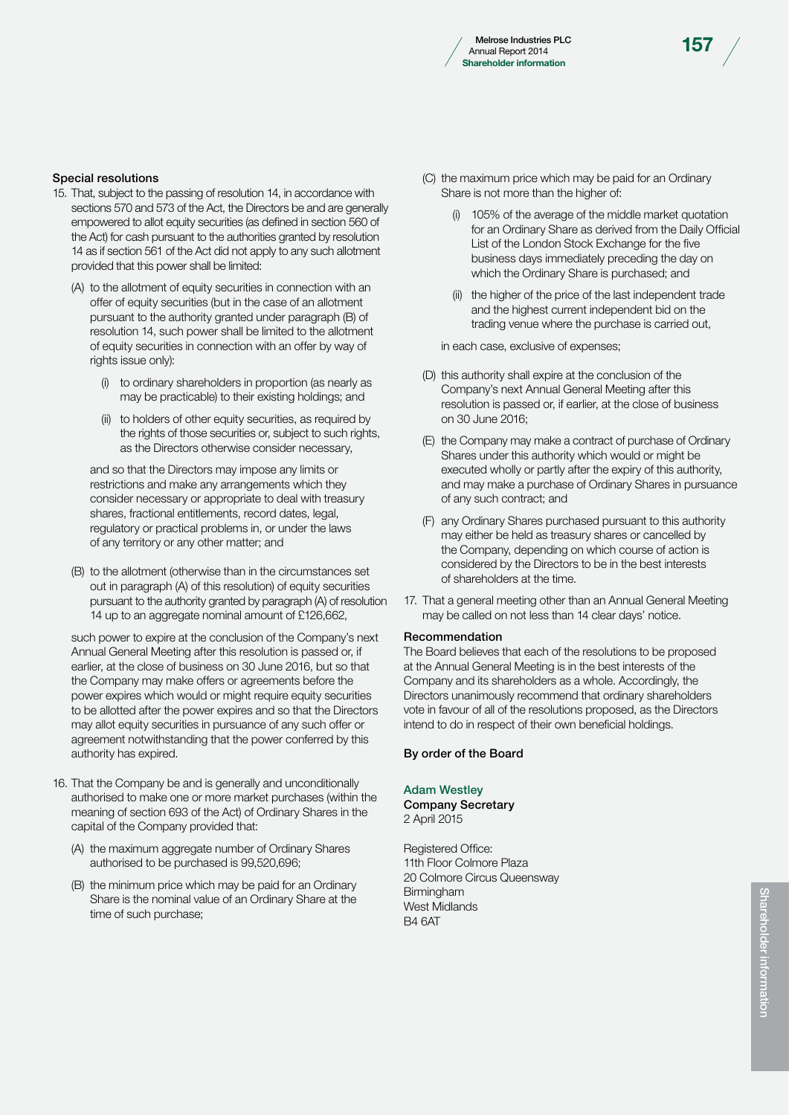

- 15. That, subject to the passing of resolution 14, in accordance with sections 570 and 573 of the Act, the Directors be and are generally empowered to allot equity securities (as defined in section 560 of the Act) for cash pursuant to the authorities granted by resolution 14 as if section 561 of the Act did not apply to any such allotment provided that this power shall be limited:
	- (A) to the allotment of equity securities in connection with an offer of equity securities (but in the case of an allotment pursuant to the authority granted under paragraph (B) of resolution 14, such power shall be limited to the allotment of equity securities in connection with an offer by way of rights issue only):
		- (i) to ordinary shareholders in proportion (as nearly as may be practicable) to their existing holdings; and
		- (ii) to holders of other equity securities, as required by the rights of those securities or, subject to such rights, as the Directors otherwise consider necessary,

and so that the Directors may impose any limits or restrictions and make any arrangements which they consider necessary or appropriate to deal with treasury shares, fractional entitlements, record dates, legal, regulatory or practical problems in, or under the laws of any territory or any other matter; and

(B) to the allotment (otherwise than in the circumstances set out in paragraph (A) of this resolution) of equity securities pursuant to the authority granted by paragraph (A) of resolution 14 up to an aggregate nominal amount of £126,662,

such power to expire at the conclusion of the Company's next Annual General Meeting after this resolution is passed or, if earlier, at the close of business on 30 June 2016, but so that the Company may make offers or agreements before the power expires which would or might require equity securities to be allotted after the power expires and so that the Directors may allot equity securities in pursuance of any such offer or agreement notwithstanding that the power conferred by this authority has expired.

- 16. That the Company be and is generally and unconditionally authorised to make one or more market purchases (within the meaning of section 693 of the Act) of Ordinary Shares in the capital of the Company provided that:
	- (A) the maximum aggregate number of Ordinary Shares authorised to be purchased is 99,520,696;
	- (B) the minimum price which may be paid for an Ordinary Share is the nominal value of an Ordinary Share at the time of such purchase;
- (C) the maximum price which may be paid for an Ordinary Share is not more than the higher of:
	- (i) 105% of the average of the middle market quotation for an Ordinary Share as derived from the Daily Official List of the London Stock Exchange for the five business days immediately preceding the day on which the Ordinary Share is purchased; and
	- (ii) the higher of the price of the last independent trade and the highest current independent bid on the trading venue where the purchase is carried out,

in each case, exclusive of expenses;

- (D) this authority shall expire at the conclusion of the Company's next Annual General Meeting after this resolution is passed or, if earlier, at the close of business on 30 June 2016;
- (E) the Company may make a contract of purchase of Ordinary Shares under this authority which would or might be executed wholly or partly after the expiry of this authority, and may make a purchase of Ordinary Shares in pursuance of any such contract; and
- (F) any Ordinary Shares purchased pursuant to this authority may either be held as treasury shares or cancelled by the Company, depending on which course of action is considered by the Directors to be in the best interests of shareholders at the time.
- 17. That a general meeting other than an Annual General Meeting may be called on not less than 14 clear days' notice.

### Recommendation

The Board believes that each of the resolutions to be proposed at the Annual General Meeting is in the best interests of the Company and its shareholders as a whole. Accordingly, the Directors unanimously recommend that ordinary shareholders vote in favour of all of the resolutions proposed, as the Directors intend to do in respect of their own beneficial holdings.

### By order of the Board

# Adam Westley

Company Secretary 2 April 2015

Registered Office: 11th Floor Colmore Plaza 20 Colmore Circus Queensway Birmingham West Midlands B4 6AT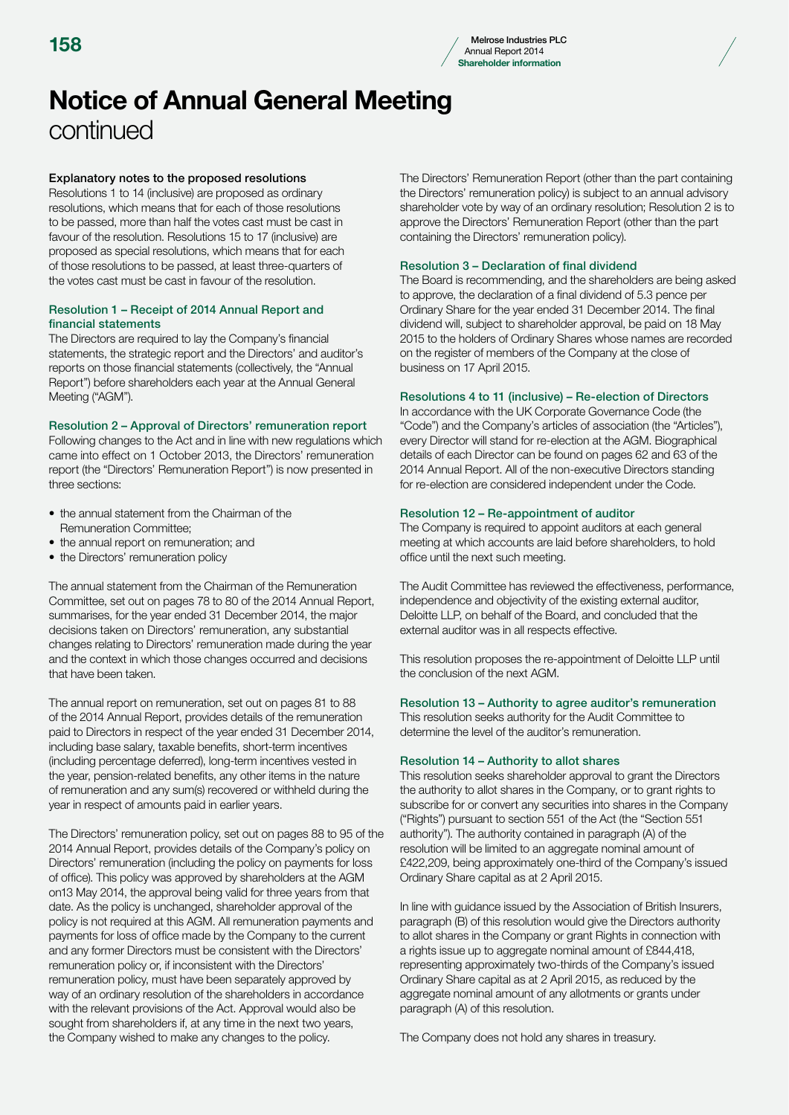$\sim$  158 Melrose Industries PLC Annual Report 2014 Shareholder information

# Notice of Annual General Meeting

continued

# Explanatory notes to the proposed resolutions

Resolutions 1 to 14 (inclusive) are proposed as ordinary resolutions, which means that for each of those resolutions to be passed, more than half the votes cast must be cast in favour of the resolution. Resolutions 15 to 17 (inclusive) are proposed as special resolutions, which means that for each of those resolutions to be passed, at least three-quarters of the votes cast must be cast in favour of the resolution.

### Resolution 1 – Receipt of 2014 Annual Report and financial statements

The Directors are required to lay the Company's financial statements, the strategic report and the Directors' and auditor's reports on those financial statements (collectively, the "Annual Report") before shareholders each year at the Annual General Meeting ("AGM").

### Resolution 2 – Approval of Directors' remuneration report

Following changes to the Act and in line with new regulations which came into effect on 1 October 2013, the Directors' remuneration report (the "Directors' Remuneration Report") is now presented in three sections:

- the annual statement from the Chairman of the Remuneration Committee;
- the annual report on remuneration; and
- the Directors' remuneration policy

The annual statement from the Chairman of the Remuneration Committee, set out on pages 78 to 80 of the 2014 Annual Report, summarises, for the year ended 31 December 2014, the major decisions taken on Directors' remuneration, any substantial changes relating to Directors' remuneration made during the year and the context in which those changes occurred and decisions that have been taken.

The annual report on remuneration, set out on pages 81 to 88 of the 2014 Annual Report, provides details of the remuneration paid to Directors in respect of the year ended 31 December 2014, including base salary, taxable benefits, short-term incentives (including percentage deferred), long-term incentives vested in the year, pension-related benefits, any other items in the nature of remuneration and any sum(s) recovered or withheld during the year in respect of amounts paid in earlier years.

The Directors' remuneration policy, set out on pages 88 to 95 of the 2014 Annual Report, provides details of the Company's policy on Directors' remuneration (including the policy on payments for loss of office). This policy was approved by shareholders at the AGM on13 May 2014, the approval being valid for three years from that date. As the policy is unchanged, shareholder approval of the policy is not required at this AGM. All remuneration payments and payments for loss of office made by the Company to the current and any former Directors must be consistent with the Directors' remuneration policy or, if inconsistent with the Directors' remuneration policy, must have been separately approved by way of an ordinary resolution of the shareholders in accordance with the relevant provisions of the Act. Approval would also be sought from shareholders if, at any time in the next two years, the Company wished to make any changes to the policy.

The Directors' Remuneration Report (other than the part containing the Directors' remuneration policy) is subject to an annual advisory shareholder vote by way of an ordinary resolution; Resolution 2 is to approve the Directors' Remuneration Report (other than the part containing the Directors' remuneration policy).

### Resolution 3 – Declaration of final dividend

The Board is recommending, and the shareholders are being asked to approve, the declaration of a final dividend of 5.3 pence per Ordinary Share for the year ended 31 December 2014. The final dividend will, subject to shareholder approval, be paid on 18 May 2015 to the holders of Ordinary Shares whose names are recorded on the register of members of the Company at the close of business on 17 April 2015.

# Resolutions 4 to 11 (inclusive) – Re-election of Directors

In accordance with the UK Corporate Governance Code (the "Code") and the Company's articles of association (the "Articles"), every Director will stand for re-election at the AGM. Biographical details of each Director can be found on pages 62 and 63 of the 2014 Annual Report. All of the non-executive Directors standing for re-election are considered independent under the Code.

# Resolution 12 – Re-appointment of auditor

The Company is required to appoint auditors at each general meeting at which accounts are laid before shareholders, to hold office until the next such meeting.

The Audit Committee has reviewed the effectiveness, performance, independence and objectivity of the existing external auditor, Deloitte LLP, on behalf of the Board, and concluded that the external auditor was in all respects effective.

This resolution proposes the re-appointment of Deloitte LLP until the conclusion of the next AGM.

### Resolution 13 – Authority to agree auditor's remuneration

This resolution seeks authority for the Audit Committee to determine the level of the auditor's remuneration.

### Resolution 14 – Authority to allot shares

This resolution seeks shareholder approval to grant the Directors the authority to allot shares in the Company, or to grant rights to subscribe for or convert any securities into shares in the Company ("Rights") pursuant to section 551 of the Act (the "Section 551 authority"). The authority contained in paragraph (A) of the resolution will be limited to an aggregate nominal amount of £422,209, being approximately one-third of the Company's issued Ordinary Share capital as at 2 April 2015.

In line with guidance issued by the Association of British Insurers, paragraph (B) of this resolution would give the Directors authority to allot shares in the Company or grant Rights in connection with a rights issue up to aggregate nominal amount of £844,418, representing approximately two-thirds of the Company's issued Ordinary Share capital as at 2 April 2015, as reduced by the aggregate nominal amount of any allotments or grants under paragraph (A) of this resolution.

The Company does not hold any shares in treasury.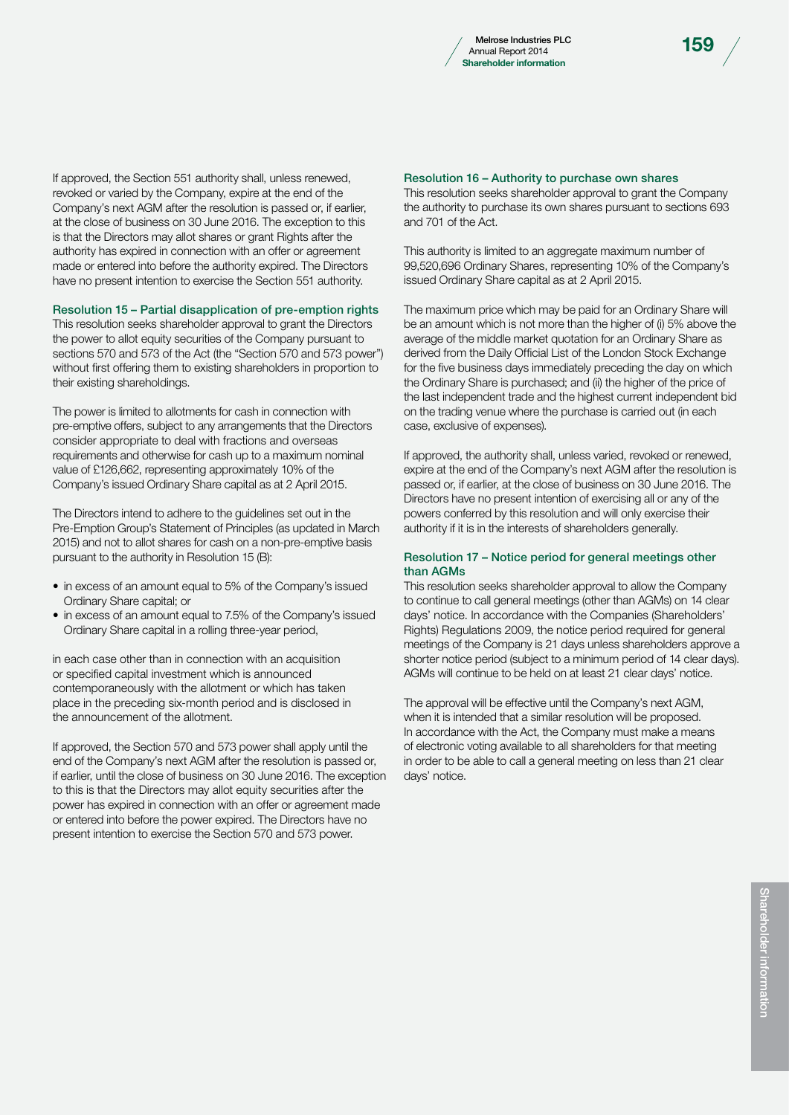

If approved, the Section 551 authority shall, unless renewed, revoked or varied by the Company, expire at the end of the Company's next AGM after the resolution is passed or, if earlier, at the close of business on 30 June 2016. The exception to this is that the Directors may allot shares or grant Rights after the authority has expired in connection with an offer or agreement made or entered into before the authority expired. The Directors have no present intention to exercise the Section 551 authority.

#### Resolution 15 – Partial disapplication of pre-emption rights

This resolution seeks shareholder approval to grant the Directors the power to allot equity securities of the Company pursuant to sections 570 and 573 of the Act (the "Section 570 and 573 power") without first offering them to existing shareholders in proportion to their existing shareholdings.

The power is limited to allotments for cash in connection with pre-emptive offers, subject to any arrangements that the Directors consider appropriate to deal with fractions and overseas requirements and otherwise for cash up to a maximum nominal value of £126,662, representing approximately 10% of the Company's issued Ordinary Share capital as at 2 April 2015.

The Directors intend to adhere to the guidelines set out in the Pre-Emption Group's Statement of Principles (as updated in March 2015) and not to allot shares for cash on a non-pre-emptive basis pursuant to the authority in Resolution 15 (B):

- in excess of an amount equal to 5% of the Company's issued Ordinary Share capital; or
- in excess of an amount equal to 7.5% of the Company's issued Ordinary Share capital in a rolling three-year period,

in each case other than in connection with an acquisition or specified capital investment which is announced contemporaneously with the allotment or which has taken place in the preceding six-month period and is disclosed in the announcement of the allotment.

If approved, the Section 570 and 573 power shall apply until the end of the Company's next AGM after the resolution is passed or, if earlier, until the close of business on 30 June 2016. The exception to this is that the Directors may allot equity securities after the power has expired in connection with an offer or agreement made or entered into before the power expired. The Directors have no present intention to exercise the Section 570 and 573 power.

#### Resolution 16 – Authority to purchase own shares

This resolution seeks shareholder approval to grant the Company the authority to purchase its own shares pursuant to sections 693 and 701 of the Act.

This authority is limited to an aggregate maximum number of 99,520,696 Ordinary Shares, representing 10% of the Company's issued Ordinary Share capital as at 2 April 2015.

The maximum price which may be paid for an Ordinary Share will be an amount which is not more than the higher of (i) 5% above the average of the middle market quotation for an Ordinary Share as derived from the Daily Official List of the London Stock Exchange for the five business days immediately preceding the day on which the Ordinary Share is purchased; and (ii) the higher of the price of the last independent trade and the highest current independent bid on the trading venue where the purchase is carried out (in each case, exclusive of expenses).

If approved, the authority shall, unless varied, revoked or renewed, expire at the end of the Company's next AGM after the resolution is passed or, if earlier, at the close of business on 30 June 2016. The Directors have no present intention of exercising all or any of the powers conferred by this resolution and will only exercise their authority if it is in the interests of shareholders generally.

### Resolution 17 – Notice period for general meetings other than AGMs

This resolution seeks shareholder approval to allow the Company to continue to call general meetings (other than AGMs) on 14 clear days' notice. In accordance with the Companies (Shareholders' Rights) Regulations 2009, the notice period required for general meetings of the Company is 21 days unless shareholders approve a shorter notice period (subject to a minimum period of 14 clear days). AGMs will continue to be held on at least 21 clear days' notice.

The approval will be effective until the Company's next AGM, when it is intended that a similar resolution will be proposed. In accordance with the Act, the Company must make a means of electronic voting available to all shareholders for that meeting in order to be able to call a general meeting on less than 21 clear days' notice.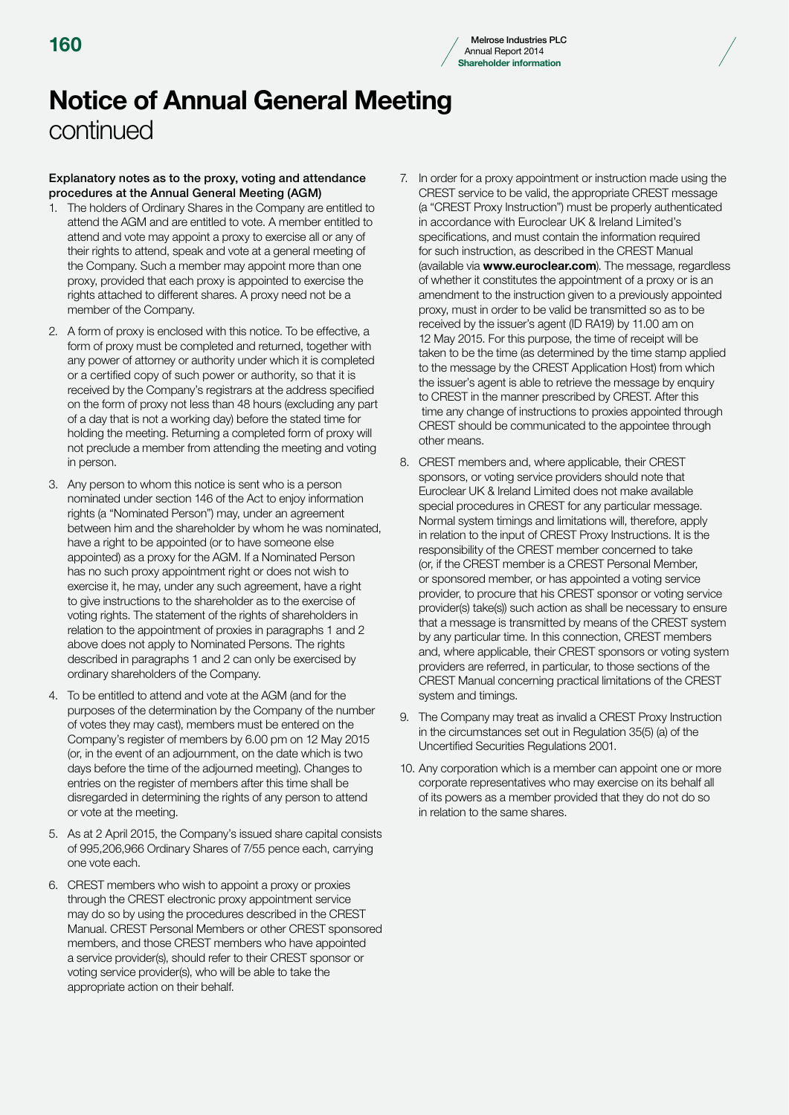# Notice of Annual General Meeting

continued

# Explanatory notes as to the proxy, voting and attendance procedures at the Annual General Meeting (AGM)

- 1. The holders of Ordinary Shares in the Company are entitled to attend the AGM and are entitled to vote. A member entitled to attend and vote may appoint a proxy to exercise all or any of their rights to attend, speak and vote at a general meeting of the Company. Such a member may appoint more than one proxy, provided that each proxy is appointed to exercise the rights attached to different shares. A proxy need not be a member of the Company.
- 2. A form of proxy is enclosed with this notice. To be effective, a form of proxy must be completed and returned, together with any power of attorney or authority under which it is completed or a certified copy of such power or authority, so that it is received by the Company's registrars at the address specified on the form of proxy not less than 48 hours (excluding any part of a day that is not a working day) before the stated time for holding the meeting. Returning a completed form of proxy will not preclude a member from attending the meeting and voting in person.
- 3. Any person to whom this notice is sent who is a person nominated under section 146 of the Act to enjoy information rights (a "Nominated Person") may, under an agreement between him and the shareholder by whom he was nominated, have a right to be appointed (or to have someone else appointed) as a proxy for the AGM. If a Nominated Person has no such proxy appointment right or does not wish to exercise it, he may, under any such agreement, have a right to give instructions to the shareholder as to the exercise of voting rights. The statement of the rights of shareholders in relation to the appointment of proxies in paragraphs 1 and 2 above does not apply to Nominated Persons. The rights described in paragraphs 1 and 2 can only be exercised by ordinary shareholders of the Company.
- 4. To be entitled to attend and vote at the AGM (and for the purposes of the determination by the Company of the number of votes they may cast), members must be entered on the Company's register of members by 6.00 pm on 12 May 2015 (or, in the event of an adjournment, on the date which is two days before the time of the adjourned meeting). Changes to entries on the register of members after this time shall be disregarded in determining the rights of any person to attend or vote at the meeting.
- 5. As at 2 April 2015, the Company's issued share capital consists of 995,206,966 Ordinary Shares of 7/55 pence each, carrying one vote each.
- 6. CREST members who wish to appoint a proxy or proxies through the CREST electronic proxy appointment service may do so by using the procedures described in the CREST Manual. CREST Personal Members or other CREST sponsored members, and those CREST members who have appointed a service provider(s), should refer to their CREST sponsor or voting service provider(s), who will be able to take the appropriate action on their behalf.
- 7. In order for a proxy appointment or instruction made using the CREST service to be valid, the appropriate CREST message (a "CREST Proxy Instruction") must be properly authenticated in accordance with Euroclear UK & Ireland Limited's specifications, and must contain the information required for such instruction, as described in the CREST Manual (available via **www.euroclear.com**). The message, regardless of whether it constitutes the appointment of a proxy or is an amendment to the instruction given to a previously appointed proxy, must in order to be valid be transmitted so as to be received by the issuer's agent (ID RA19) by 11.00 am on 12 May 2015. For this purpose, the time of receipt will be taken to be the time (as determined by the time stamp applied to the message by the CREST Application Host) from which the issuer's agent is able to retrieve the message by enquiry to CREST in the manner prescribed by CREST. After this time any change of instructions to proxies appointed through CREST should be communicated to the appointee through other means.
- 8. CREST members and, where applicable, their CREST sponsors, or voting service providers should note that Euroclear UK & Ireland Limited does not make available special procedures in CREST for any particular message. Normal system timings and limitations will, therefore, apply in relation to the input of CREST Proxy Instructions. It is the responsibility of the CREST member concerned to take (or, if the CREST member is a CREST Personal Member, or sponsored member, or has appointed a voting service provider, to procure that his CREST sponsor or voting service provider(s) take(s)) such action as shall be necessary to ensure that a message is transmitted by means of the CREST system by any particular time. In this connection, CREST members and, where applicable, their CREST sponsors or voting system providers are referred, in particular, to those sections of the CREST Manual concerning practical limitations of the CREST system and timings.
- 9. The Company may treat as invalid a CREST Proxy Instruction in the circumstances set out in Regulation 35(5) (a) of the Uncertified Securities Regulations 2001.
- 10. Any corporation which is a member can appoint one or more corporate representatives who may exercise on its behalf all of its powers as a member provided that they do not do so in relation to the same shares.